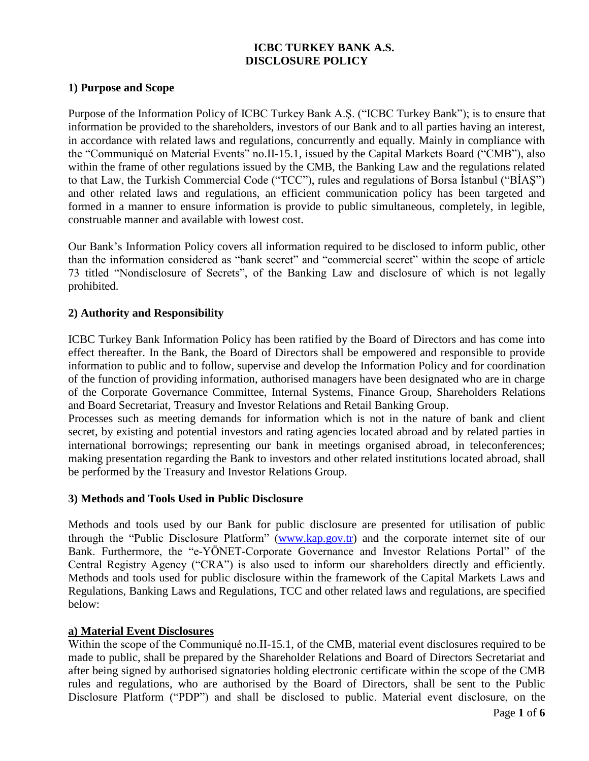# **ICBC TURKEY BANK A.S. DISCLOSURE POLICY**

### **1) Purpose and Scope**

Purpose of the Information Policy of ICBC Turkey Bank A.Ş. ("ICBC Turkey Bank"); is to ensure that information be provided to the shareholders, investors of our Bank and to all parties having an interest, in accordance with related laws and regulations, concurrently and equally. Mainly in compliance with the "Communiqué on Material Events" no.II-15.1, issued by the Capital Markets Board ("CMB"), also within the frame of other regulations issued by the CMB, the Banking Law and the regulations related to that Law, the Turkish Commercial Code ("TCC"), rules and regulations of Borsa İstanbul ("BİAŞ") and other related laws and regulations, an efficient communication policy has been targeted and formed in a manner to ensure information is provide to public simultaneous, completely, in legible, construable manner and available with lowest cost.

Our Bank's Information Policy covers all information required to be disclosed to inform public, other than the information considered as "bank secret" and "commercial secret" within the scope of article 73 titled "Nondisclosure of Secrets", of the Banking Law and disclosure of which is not legally prohibited.

## **2) Authority and Responsibility**

ICBC Turkey Bank Information Policy has been ratified by the Board of Directors and has come into effect thereafter. In the Bank, the Board of Directors shall be empowered and responsible to provide information to public and to follow, supervise and develop the Information Policy and for coordination of the function of providing information, authorised managers have been designated who are in charge of the Corporate Governance Committee, Internal Systems, Finance Group, Shareholders Relations and Board Secretariat, Treasury and Investor Relations and Retail Banking Group.

Processes such as meeting demands for information which is not in the nature of bank and client secret, by existing and potential investors and rating agencies located abroad and by related parties in international borrowings; representing our bank in meetings organised abroad, in teleconferences; making presentation regarding the Bank to investors and other related institutions located abroad, shall be performed by the Treasury and Investor Relations Group.

### **3) Methods and Tools Used in Public Disclosure**

Methods and tools used by our Bank for public disclosure are presented for utilisation of public through the "Public Disclosure Platform" [\(www.kap.gov.tr\)](http://www.kap.gov.tr/) and the corporate internet site of our Bank. Furthermore, the "e-YÖNET-Corporate Governance and Investor Relations Portal" of the Central Registry Agency ("CRA") is also used to inform our shareholders directly and efficiently. Methods and tools used for public disclosure within the framework of the Capital Markets Laws and Regulations, Banking Laws and Regulations, TCC and other related laws and regulations, are specified below:

### **a) Material Event Disclosures**

Within the scope of the Communiqué no.II-15.1, of the CMB, material event disclosures required to be made to public, shall be prepared by the Shareholder Relations and Board of Directors Secretariat and after being signed by authorised signatories holding electronic certificate within the scope of the CMB rules and regulations, who are authorised by the Board of Directors, shall be sent to the Public Disclosure Platform ("PDP") and shall be disclosed to public. Material event disclosure, on the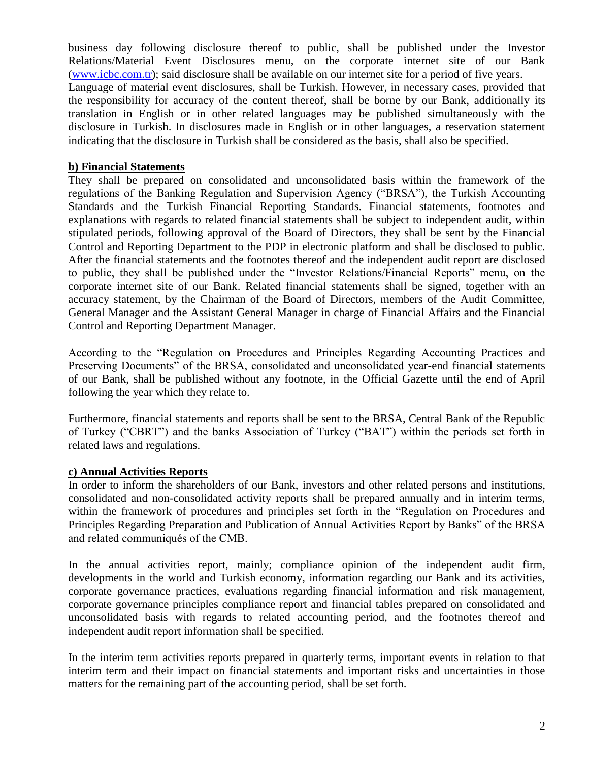business day following disclosure thereof to public, shall be published under the Investor Relations/Material Event Disclosures menu, on the corporate internet site of our Bank [\(www.icbc.com.tr\)](http://www.icbc.com.tr/); said disclosure shall be available on our internet site for a period of five years. Language of material event disclosures, shall be Turkish. However, in necessary cases, provided that the responsibility for accuracy of the content thereof, shall be borne by our Bank, additionally its translation in English or in other related languages may be published simultaneously with the disclosure in Turkish. In disclosures made in English or in other languages, a reservation statement indicating that the disclosure in Turkish shall be considered as the basis, shall also be specified.

### **b) Financial Statements**

They shall be prepared on consolidated and unconsolidated basis within the framework of the regulations of the Banking Regulation and Supervision Agency ("BRSA"), the Turkish Accounting Standards and the Turkish Financial Reporting Standards. Financial statements, footnotes and explanations with regards to related financial statements shall be subject to independent audit, within stipulated periods, following approval of the Board of Directors, they shall be sent by the Financial Control and Reporting Department to the PDP in electronic platform and shall be disclosed to public. After the financial statements and the footnotes thereof and the independent audit report are disclosed to public, they shall be published under the "Investor Relations/Financial Reports" menu, on the corporate internet site of our Bank. Related financial statements shall be signed, together with an accuracy statement, by the Chairman of the Board of Directors, members of the Audit Committee, General Manager and the Assistant General Manager in charge of Financial Affairs and the Financial Control and Reporting Department Manager.

According to the "Regulation on Procedures and Principles Regarding Accounting Practices and Preserving Documents" of the BRSA, consolidated and unconsolidated year-end financial statements of our Bank, shall be published without any footnote, in the Official Gazette until the end of April following the year which they relate to.

Furthermore, financial statements and reports shall be sent to the BRSA, Central Bank of the Republic of Turkey ("CBRT") and the banks Association of Turkey ("BAT") within the periods set forth in related laws and regulations.

# **c) Annual Activities Reports**

In order to inform the shareholders of our Bank, investors and other related persons and institutions, consolidated and non-consolidated activity reports shall be prepared annually and in interim terms, within the framework of procedures and principles set forth in the "Regulation on Procedures and Principles Regarding Preparation and Publication of Annual Activities Report by Banks" of the BRSA and related communiqués of the CMB.

In the annual activities report, mainly; compliance opinion of the independent audit firm, developments in the world and Turkish economy, information regarding our Bank and its activities, corporate governance practices, evaluations regarding financial information and risk management, corporate governance principles compliance report and financial tables prepared on consolidated and unconsolidated basis with regards to related accounting period, and the footnotes thereof and independent audit report information shall be specified.

In the interim term activities reports prepared in quarterly terms, important events in relation to that interim term and their impact on financial statements and important risks and uncertainties in those matters for the remaining part of the accounting period, shall be set forth.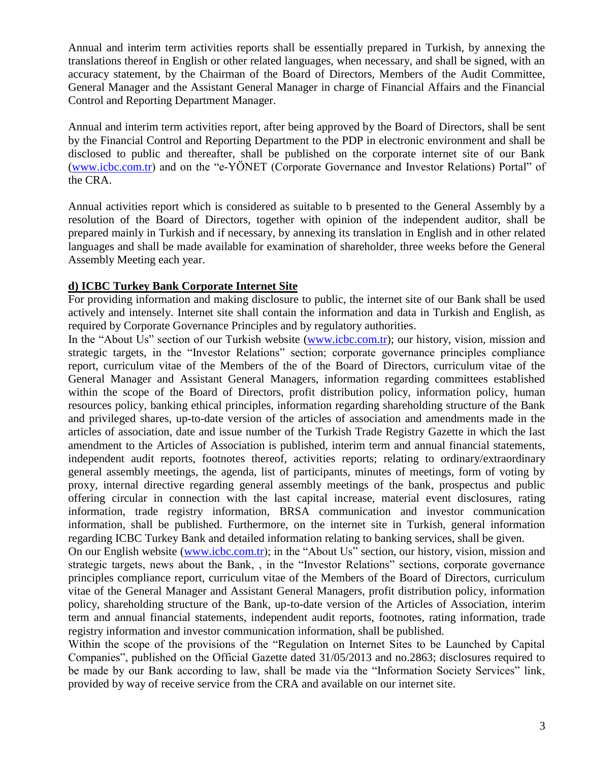Annual and interim term activities reports shall be essentially prepared in Turkish, by annexing the translations thereof in English or other related languages, when necessary, and shall be signed, with an accuracy statement, by the Chairman of the Board of Directors, Members of the Audit Committee, General Manager and the Assistant General Manager in charge of Financial Affairs and the Financial Control and Reporting Department Manager.

Annual and interim term activities report, after being approved by the Board of Directors, shall be sent by the Financial Control and Reporting Department to the PDP in electronic environment and shall be disclosed to public and thereafter, shall be published on the corporate internet site of our Bank [\(www.icbc.com.tr\)](http://www.icbc.com.tr/) and on the "e-YÖNET (Corporate Governance and Investor Relations) Portal" of the CRA.

Annual activities report which is considered as suitable to b presented to the General Assembly by a resolution of the Board of Directors, together with opinion of the independent auditor, shall be prepared mainly in Turkish and if necessary, by annexing its translation in English and in other related languages and shall be made available for examination of shareholder, three weeks before the General Assembly Meeting each year.

## **d) ICBC Turkey Bank Corporate Internet Site**

For providing information and making disclosure to public, the internet site of our Bank shall be used actively and intensely. Internet site shall contain the information and data in Turkish and English, as required by Corporate Governance Principles and by regulatory authorities.

In the "About Us" section of our Turkish website [\(www.icbc.com.tr\)](http://www.icbc.com.tr/); our history, vision, mission and strategic targets, in the "Investor Relations" section; corporate governance principles compliance report, curriculum vitae of the Members of the of the Board of Directors, curriculum vitae of the General Manager and Assistant General Managers, information regarding committees established within the scope of the Board of Directors, profit distribution policy, information policy, human resources policy, banking ethical principles, information regarding shareholding structure of the Bank and privileged shares, up-to-date version of the articles of association and amendments made in the articles of association, date and issue number of the Turkish Trade Registry Gazette in which the last amendment to the Articles of Association is published, interim term and annual financial statements, independent audit reports, footnotes thereof, activities reports; relating to ordinary/extraordinary general assembly meetings, the agenda, list of participants, minutes of meetings, form of voting by proxy, internal directive regarding general assembly meetings of the bank, prospectus and public offering circular in connection with the last capital increase, material event disclosures, rating information, trade registry information, BRSA communication and investor communication information, shall be published. Furthermore, on the internet site in Turkish, general information regarding ICBC Turkey Bank and detailed information relating to banking services, shall be given.

On our English website [\(www.icbc.com.tr\)](http://www.icbc.com.tr/); in the "About Us" section, our history, vision, mission and strategic targets, news about the Bank, , in the "Investor Relations" sections, corporate governance principles compliance report, curriculum vitae of the Members of the Board of Directors, curriculum vitae of the General Manager and Assistant General Managers, profit distribution policy, information policy, shareholding structure of the Bank, up-to-date version of the Articles of Association, interim term and annual financial statements, independent audit reports, footnotes, rating information, trade registry information and investor communication information, shall be published.

Within the scope of the provisions of the "Regulation on Internet Sites to be Launched by Capital Companies", published on the Official Gazette dated 31/05/2013 and no.2863; disclosures required to be made by our Bank according to law, shall be made via the "Information Society Services" link, provided by way of receive service from the CRA and available on our internet site.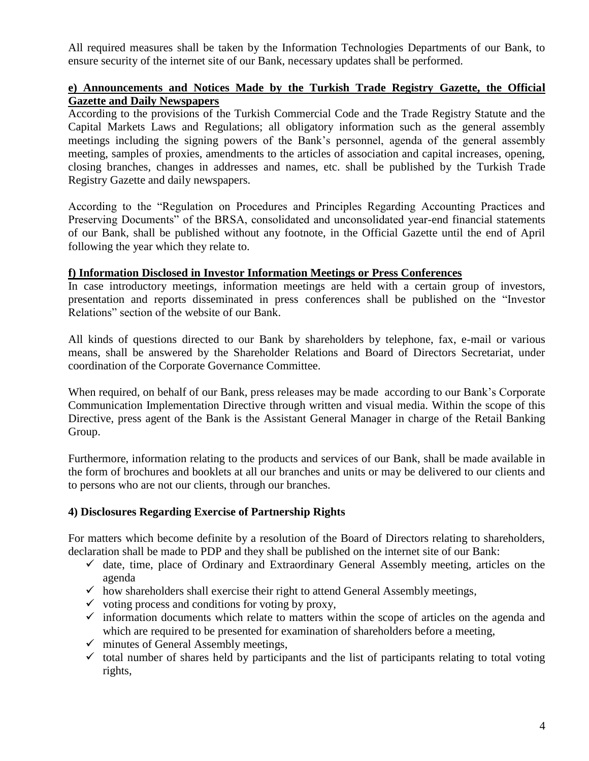All required measures shall be taken by the Information Technologies Departments of our Bank, to ensure security of the internet site of our Bank, necessary updates shall be performed.

## **e) Announcements and Notices Made by the Turkish Trade Registry Gazette, the Official Gazette and Daily Newspapers**

According to the provisions of the Turkish Commercial Code and the Trade Registry Statute and the Capital Markets Laws and Regulations; all obligatory information such as the general assembly meetings including the signing powers of the Bank's personnel, agenda of the general assembly meeting, samples of proxies, amendments to the articles of association and capital increases, opening, closing branches, changes in addresses and names, etc. shall be published by the Turkish Trade Registry Gazette and daily newspapers.

According to the "Regulation on Procedures and Principles Regarding Accounting Practices and Preserving Documents" of the BRSA, consolidated and unconsolidated year-end financial statements of our Bank, shall be published without any footnote, in the Official Gazette until the end of April following the year which they relate to.

## **f) Information Disclosed in Investor Information Meetings or Press Conferences**

In case introductory meetings, information meetings are held with a certain group of investors, presentation and reports disseminated in press conferences shall be published on the "Investor Relations" section of the website of our Bank.

All kinds of questions directed to our Bank by shareholders by telephone, fax, e-mail or various means, shall be answered by the Shareholder Relations and Board of Directors Secretariat, under coordination of the Corporate Governance Committee.

When required, on behalf of our Bank, press releases may be made according to our Bank's Corporate Communication Implementation Directive through written and visual media. Within the scope of this Directive, press agent of the Bank is the Assistant General Manager in charge of the Retail Banking Group.

Furthermore, information relating to the products and services of our Bank, shall be made available in the form of brochures and booklets at all our branches and units or may be delivered to our clients and to persons who are not our clients, through our branches.

# **4) Disclosures Regarding Exercise of Partnership Rights**

For matters which become definite by a resolution of the Board of Directors relating to shareholders, declaration shall be made to PDP and they shall be published on the internet site of our Bank:

- $\checkmark$  date, time, place of Ordinary and Extraordinary General Assembly meeting, articles on the agenda
- $\checkmark$  how shareholders shall exercise their right to attend General Assembly meetings,
- $\checkmark$  voting process and conditions for voting by proxy,
- $\checkmark$  information documents which relate to matters within the scope of articles on the agenda and which are required to be presented for examination of shareholders before a meeting,
- $\checkmark$  minutes of General Assembly meetings,
- $\checkmark$  total number of shares held by participants and the list of participants relating to total voting rights,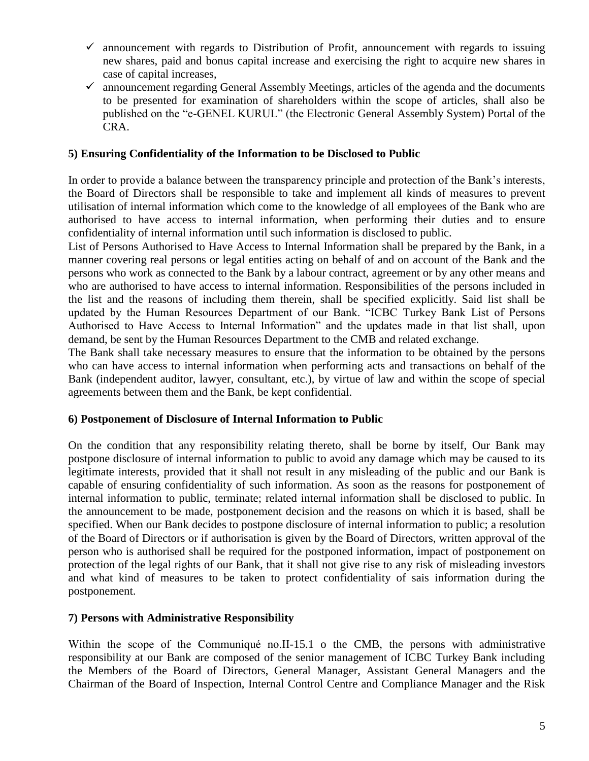- $\checkmark$  announcement with regards to Distribution of Profit, announcement with regards to issuing new shares, paid and bonus capital increase and exercising the right to acquire new shares in case of capital increases,
- $\checkmark$  announcement regarding General Assembly Meetings, articles of the agenda and the documents to be presented for examination of shareholders within the scope of articles, shall also be published on the "e-GENEL KURUL" (the Electronic General Assembly System) Portal of the CRA.

## **5) Ensuring Confidentiality of the Information to be Disclosed to Public**

In order to provide a balance between the transparency principle and protection of the Bank's interests, the Board of Directors shall be responsible to take and implement all kinds of measures to prevent utilisation of internal information which come to the knowledge of all employees of the Bank who are authorised to have access to internal information, when performing their duties and to ensure confidentiality of internal information until such information is disclosed to public.

List of Persons Authorised to Have Access to Internal Information shall be prepared by the Bank, in a manner covering real persons or legal entities acting on behalf of and on account of the Bank and the persons who work as connected to the Bank by a labour contract, agreement or by any other means and who are authorised to have access to internal information. Responsibilities of the persons included in the list and the reasons of including them therein, shall be specified explicitly. Said list shall be updated by the Human Resources Department of our Bank. "ICBC Turkey Bank List of Persons Authorised to Have Access to Internal Information" and the updates made in that list shall, upon demand, be sent by the Human Resources Department to the CMB and related exchange.

The Bank shall take necessary measures to ensure that the information to be obtained by the persons who can have access to internal information when performing acts and transactions on behalf of the Bank (independent auditor, lawyer, consultant, etc.), by virtue of law and within the scope of special agreements between them and the Bank, be kept confidential.

### **6) Postponement of Disclosure of Internal Information to Public**

On the condition that any responsibility relating thereto, shall be borne by itself, Our Bank may postpone disclosure of internal information to public to avoid any damage which may be caused to its legitimate interests, provided that it shall not result in any misleading of the public and our Bank is capable of ensuring confidentiality of such information. As soon as the reasons for postponement of internal information to public, terminate; related internal information shall be disclosed to public. In the announcement to be made, postponement decision and the reasons on which it is based, shall be specified. When our Bank decides to postpone disclosure of internal information to public; a resolution of the Board of Directors or if authorisation is given by the Board of Directors, written approval of the person who is authorised shall be required for the postponed information, impact of postponement on protection of the legal rights of our Bank, that it shall not give rise to any risk of misleading investors and what kind of measures to be taken to protect confidentiality of sais information during the postponement.

# **7) Persons with Administrative Responsibility**

Within the scope of the Communiqué no.II-15.1 o the CMB, the persons with administrative responsibility at our Bank are composed of the senior management of ICBC Turkey Bank including the Members of the Board of Directors, General Manager, Assistant General Managers and the Chairman of the Board of Inspection, Internal Control Centre and Compliance Manager and the Risk